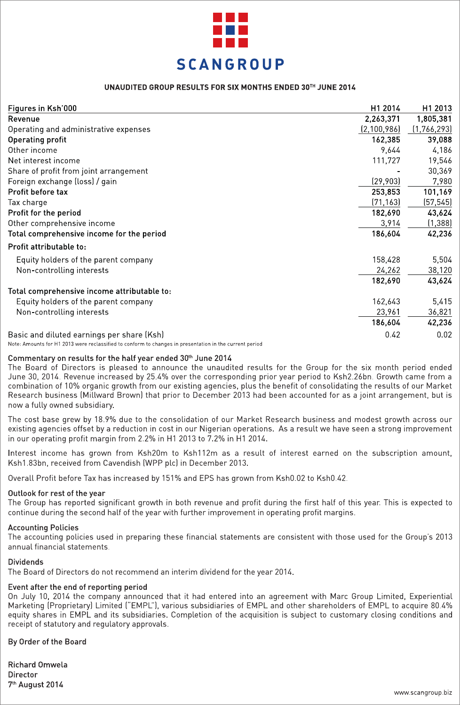

## UNAUDITED GROUP RESULTS FOR SIX MONTHS ENDED 30TH JUNE 2014

| Figures in Ksh'000                                                                                      | H1 2014     | H1 2013     |
|---------------------------------------------------------------------------------------------------------|-------------|-------------|
| Revenue                                                                                                 | 2,263,371   | 1,805,381   |
| Operating and administrative expenses                                                                   | (2,100,986) | (1,766,293) |
| Operating profit                                                                                        | 162,385     | 39,088      |
| Other income                                                                                            | 9.644       | 4,186       |
| Net interest income                                                                                     | 111,727     | 19,546      |
| Share of profit from joint arrangement                                                                  |             | 30,369      |
| Foreign exchange (loss) / gain                                                                          | (29, 903)   | 7,980       |
| Profit before tax                                                                                       | 253,853     | 101,169     |
| Tax charge                                                                                              | (71, 163)   | (57, 545)   |
| Profit for the period                                                                                   | 182,690     | 43,624      |
|                                                                                                         |             | (1, 388)    |
| Other comprehensive income                                                                              | 3,914       |             |
| Total comprehensive income for the period                                                               | 186,604     | 42,236      |
| Profit attributable to:                                                                                 |             |             |
| Equity holders of the parent company                                                                    | 158,428     | 5,504       |
| Non-controlling interests                                                                               | 24,262      | 38,120      |
|                                                                                                         | 182,690     | 43,624      |
| Total comprehensive income attributable to:                                                             |             |             |
| Equity holders of the parent company                                                                    | 162,643     | 5,415       |
| Non-controlling interests                                                                               | 23,961      | 36,821      |
|                                                                                                         | 186,604     | 42,236      |
| Basic and diluted earnings per share (Ksh)                                                              | 0.42        | 0.02        |
| Note: Amounts for H1 2013 were reclassified to conform to changes in presentation in the current period |             |             |

## Commentary on results for the half year ended 30th June 2014

The Board of Directors is pleased to announce the unaudited results for the Group for the six month period ended June 30, 2014. Revenue increased by 25.4% over the corresponding prior year period to Ksh2.26bn. Growth came from a combination of 10% organic growth from our existing agencies, plus the benefit of consolidating the results of our Market Research business (Millward Brown) that prior to December 2013 had been accounted for as a joint arrangement, but is now a fully owned subsidiary.

The cost base grew by 18.9% due to the consolidation of our Market Research business and modest growth across our existing agencies offset by a reduction in cost in our Nigerian operations. As a result we have seen a strong improvement in our operating profit margin from 2.2% in H1 2013 to 7.2% in H1 2014.

Interest income has grown from Ksh20m to Ksh112m as a result of interest earned on the subscription amount, Ksh1.83bn, received from Cavendish (WPP plc) in December 2013.

Overall Profit before Tax has increased by 151% and EPS has grown from Ksh0.02 to Ksh0.42.

#### Outlook for rest of the year

The Group has reported significant growth in both revenue and profit during the first half of this year. This is expected to continue during the second half of the year with further improvement in operating profit margins.

#### **Accounting Policies**

The accounting policies used in preparing these financial statements are consistent with those used for the Group's 2013 annual financial statements.

#### **Dividends**

The Board of Directors do not recommend an interim dividend for the year 2014.

### Event after the end of reporting period

On July 10, 2014 the company announced that it had entered into an agreement with Marc Group Limited, Experiential Marketing (Proprietary) Limited ("EMPL"), various subsidiaries of EMPL and other shareholders of EMPL to acquire 80.4% equity shares in EMPL and its subsidiaries. Completion of the acquisition is subject to customary closing conditions and receipt of statutory and regulatory approvals.

## By Order of the Board

**Richard Omwela Director** 7<sup>th</sup> August 2014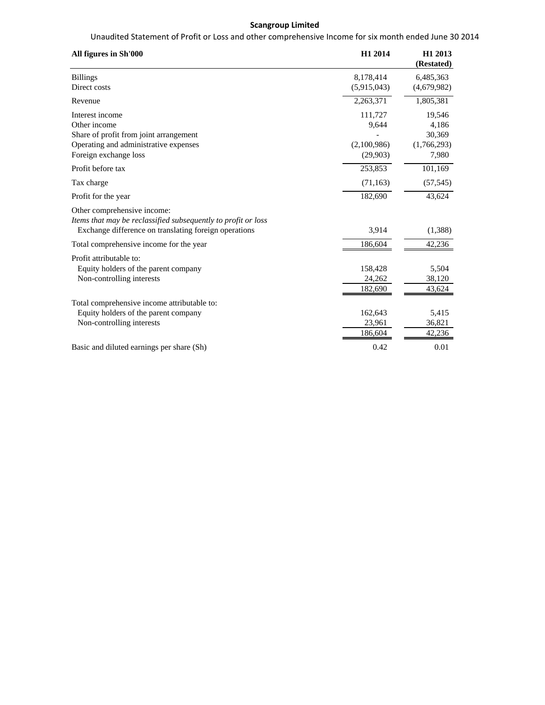## **Scangroup Limited**

Unaudited Statement of Profit or Loss and other comprehensive Income for six month ended June 30 2014

| All figures in Sh'000                                                                                                                                 | H1 2014                                     | H1 2013<br>(Restated)                             |
|-------------------------------------------------------------------------------------------------------------------------------------------------------|---------------------------------------------|---------------------------------------------------|
| <b>Billings</b><br>Direct costs                                                                                                                       | 8,178,414<br>(5,915,043)                    | 6,485,363<br>(4,679,982)                          |
| Revenue                                                                                                                                               | 2,263,371                                   | 1,805,381                                         |
| Interest income<br>Other income<br>Share of profit from joint arrangement<br>Operating and administrative expenses<br>Foreign exchange loss           | 111,727<br>9,644<br>(2,100,986)<br>(29,903) | 19,546<br>4,186<br>30,369<br>(1,766,293)<br>7,980 |
| Profit before tax                                                                                                                                     | 253,853                                     | 101,169                                           |
| Tax charge                                                                                                                                            | (71, 163)                                   | (57, 545)                                         |
| Profit for the year                                                                                                                                   | 182,690                                     | 43,624                                            |
| Other comprehensive income:<br>Items that may be reclassified subsequently to profit or loss<br>Exchange difference on translating foreign operations | 3,914                                       | (1,388)                                           |
| Total comprehensive income for the year                                                                                                               | 186,604                                     | 42,236                                            |
| Profit attributable to:<br>Equity holders of the parent company<br>Non-controlling interests                                                          | 158,428<br>24,262<br>182,690                | 5,504<br>38,120<br>43,624                         |
| Total comprehensive income attributable to:<br>Equity holders of the parent company<br>Non-controlling interests                                      | 162,643<br>23,961<br>186,604                | 5,415<br>36,821<br>42,236                         |
| Basic and diluted earnings per share (Sh)                                                                                                             | 0.42                                        | 0.01                                              |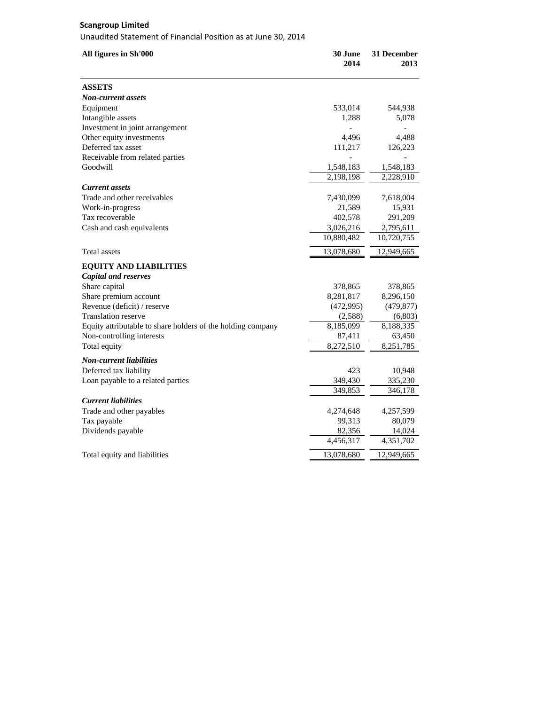# **Scangroup Limited**

Unaudited Statement of Financial Position as at June 30, 2014

| All figures in Sh'000                                       | 30 June<br>2014 | 31 December<br>2013 |
|-------------------------------------------------------------|-----------------|---------------------|
| <b>ASSETS</b>                                               |                 |                     |
| <b>Non-current assets</b>                                   |                 |                     |
| Equipment                                                   | 533,014         | 544,938             |
| Intangible assets                                           | 1,288           | 5,078               |
| Investment in joint arrangement                             | $\overline{a}$  |                     |
| Other equity investments                                    | 4,496           | 4,488               |
| Deferred tax asset                                          | 111,217         | 126,223             |
| Receivable from related parties                             |                 |                     |
| Goodwill                                                    | 1,548,183       | 1,548,183           |
|                                                             | 2,198,198       | 2,228,910           |
| Current assets                                              |                 |                     |
| Trade and other receivables                                 | 7,430,099       | 7,618,004           |
| Work-in-progress                                            | 21,589          | 15,931              |
| Tax recoverable                                             | 402,578         | 291,209             |
| Cash and cash equivalents                                   | 3,026,216       | 2,795,611           |
|                                                             | 10,880,482      | 10,720,755          |
| <b>Total assets</b>                                         | 13,078,680      | 12,949,665          |
| <b>EQUITY AND LIABILITIES</b>                               |                 |                     |
| <b>Capital and reserves</b>                                 |                 |                     |
| Share capital                                               | 378,865         | 378,865             |
| Share premium account                                       | 8,281,817       | 8,296,150           |
| Revenue (deficit) / reserve                                 | (472,995)       | (479, 877)          |
| <b>Translation reserve</b>                                  | (2,588)         | (6,803)             |
| Equity attributable to share holders of the holding company | 8,185,099       | 8,188,335           |
| Non-controlling interests                                   | 87,411          | 63,450              |
| Total equity                                                | 8,272,510       | 8,251,785           |
| <b>Non-current liabilities</b>                              |                 |                     |
| Deferred tax liability                                      | 423             | 10,948              |
| Loan payable to a related parties                           | 349,430         | 335,230             |
|                                                             | 349,853         | 346,178             |
| <b>Current liabilities</b>                                  |                 |                     |
| Trade and other payables                                    | 4,274,648       | 4,257,599           |
| Tax payable                                                 | 99,313          | 80,079              |
| Dividends payable                                           | 82,356          | 14,024              |
|                                                             | 4,456,317       | 4,351,702           |
| Total equity and liabilities                                | 13,078,680      | 12,949,665          |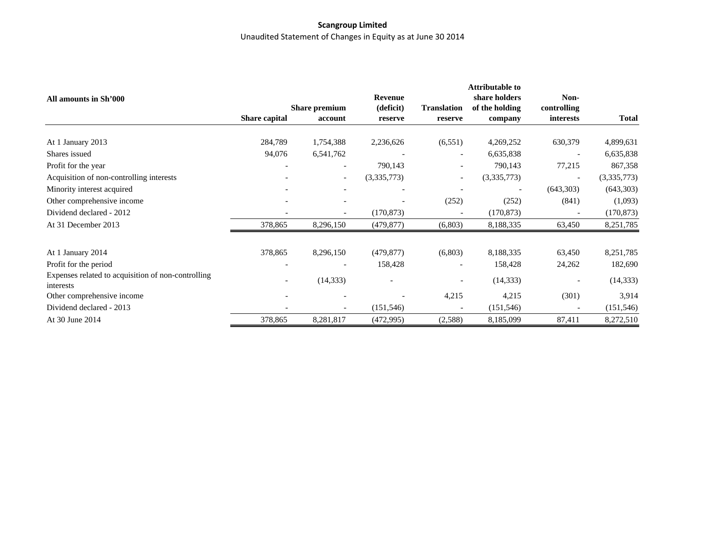# **Scangroup Limited** Unaudited Statement of Changes in Equity as at June 30 2014

|                                                                 |                          |                          |                          |                          | <b>Attributable to</b>          |                          |              |
|-----------------------------------------------------------------|--------------------------|--------------------------|--------------------------|--------------------------|---------------------------------|--------------------------|--------------|
| All amounts in Sh'000                                           |                          | <b>Share premium</b>     | Revenue<br>(deficit)     | <b>Translation</b>       | share holders<br>of the holding | Non-<br>controlling      |              |
|                                                                 | <b>Share capital</b>     | account                  | reserve                  | reserve                  | company                         | interests                | <b>Total</b> |
|                                                                 |                          |                          |                          |                          |                                 |                          |              |
| At 1 January 2013                                               | 284,789                  | 1,754,388                | 2,236,626                | (6, 551)                 | 4,269,252                       | 630,379                  | 4,899,631    |
| Shares issued                                                   | 94,076                   | 6,541,762                |                          | $\overline{\phantom{a}}$ | 6,635,838                       |                          | 6,635,838    |
| Profit for the year                                             |                          |                          | 790,143                  | $\overline{\phantom{0}}$ | 790,143                         | 77,215                   | 867,358      |
| Acquisition of non-controlling interests                        |                          | $\overline{\phantom{a}}$ | (3,335,773)              | $\overline{\phantom{0}}$ | (3,335,773)                     | $\overline{\phantom{a}}$ | (3,335,773)  |
| Minority interest acquired                                      |                          |                          |                          | $\overline{\phantom{a}}$ |                                 | (643,303)                | (643,303)    |
| Other comprehensive income                                      | $\overline{\phantom{a}}$ |                          |                          | (252)                    | (252)                           | (841)                    | (1,093)      |
| Dividend declared - 2012                                        |                          |                          | (170, 873)               |                          | (170, 873)                      |                          | (170, 873)   |
| At 31 December 2013                                             | 378,865                  | 8,296,150                | (479, 877)               | (6,803)                  | 8,188,335                       | 63,450                   | 8,251,785    |
| At 1 January 2014                                               | 378,865                  | 8,296,150                | (479, 877)               | (6,803)                  | 8,188,335                       | 63,450                   | 8,251,785    |
| Profit for the period                                           |                          |                          | 158,428                  |                          | 158,428                         | 24,262                   | 182,690      |
| Expenses related to acquisition of non-controlling<br>interests | $\overline{\phantom{a}}$ | (14, 333)                | $\overline{\phantom{a}}$ |                          | (14, 333)                       |                          | (14, 333)    |
| Other comprehensive income                                      |                          |                          |                          | 4,215                    | 4,215                           | (301)                    | 3,914        |
| Dividend declared - 2013                                        |                          |                          | (151, 546)               | $\overline{\phantom{a}}$ | (151, 546)                      |                          | (151, 546)   |
| At 30 June 2014                                                 | 378,865                  | 8,281,817                | (472,995)                | (2,588)                  | 8,185,099                       | 87,411                   | 8,272,510    |